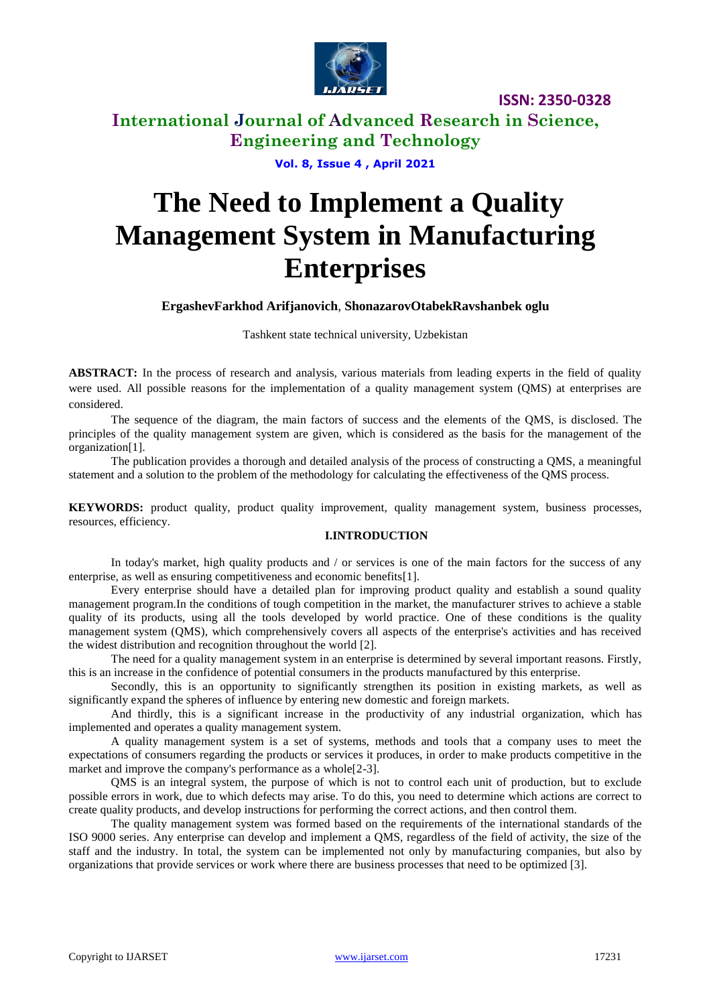

### **International Journal of Advanced Research in Science, Engineering and Technology**

**Vol. 8, Issue 4 , April 2021**

# **The Need to Implement a Quality Management System in Manufacturing Enterprises**

### **ErgashevFarkhod Arifjanovich**, **ShonazarovOtabekRavshanbek oglu**

Tashkent state technical university, Uzbekistan

**ABSTRACT:** In the process of research and analysis, various materials from leading experts in the field of quality were used. All possible reasons for the implementation of a quality management system (QMS) at enterprises are considered.

The sequence of the diagram, the main factors of success and the elements of the QMS, is disclosed. The principles of the quality management system are given, which is considered as the basis for the management of the organization[1].

The publication provides a thorough and detailed analysis of the process of constructing a QMS, a meaningful statement and a solution to the problem of the methodology for calculating the effectiveness of the QMS process.

**KEYWORDS:** product quality, product quality improvement, quality management system, business processes, resources, efficiency.

### **I.INTRODUCTION**

In today's market, high quality products and / or services is one of the main factors for the success of any enterprise, as well as ensuring competitiveness and economic benefits[1].

Every enterprise should have a detailed plan for improving product quality and establish a sound quality management program.In the conditions of tough competition in the market, the manufacturer strives to achieve a stable quality of its products, using all the tools developed by world practice. One of these conditions is the quality management system (QMS), which comprehensively covers all aspects of the enterprise's activities and has received the widest distribution and recognition throughout the world [2].

The need for a quality management system in an enterprise is determined by several important reasons. Firstly, this is an increase in the confidence of potential consumers in the products manufactured by this enterprise.

Secondly, this is an opportunity to significantly strengthen its position in existing markets, as well as significantly expand the spheres of influence by entering new domestic and foreign markets.

And thirdly, this is a significant increase in the productivity of any industrial organization, which has implemented and operates a quality management system.

A quality management system is a set of systems, methods and tools that a company uses to meet the expectations of consumers regarding the products or services it produces, in order to make products competitive in the market and improve the company's performance as a whole<sup>[2-3]</sup>.

QMS is an integral system, the purpose of which is not to control each unit of production, but to exclude possible errors in work, due to which defects may arise. To do this, you need to determine which actions are correct to create quality products, and develop instructions for performing the correct actions, and then control them.

The quality management system was formed based on the requirements of the international standards of the ISO 9000 series. Any enterprise can develop and implement a QMS, regardless of the field of activity, the size of the staff and the industry. In total, the system can be implemented not only by manufacturing companies, but also by organizations that provide services or work where there are business processes that need to be optimized [3].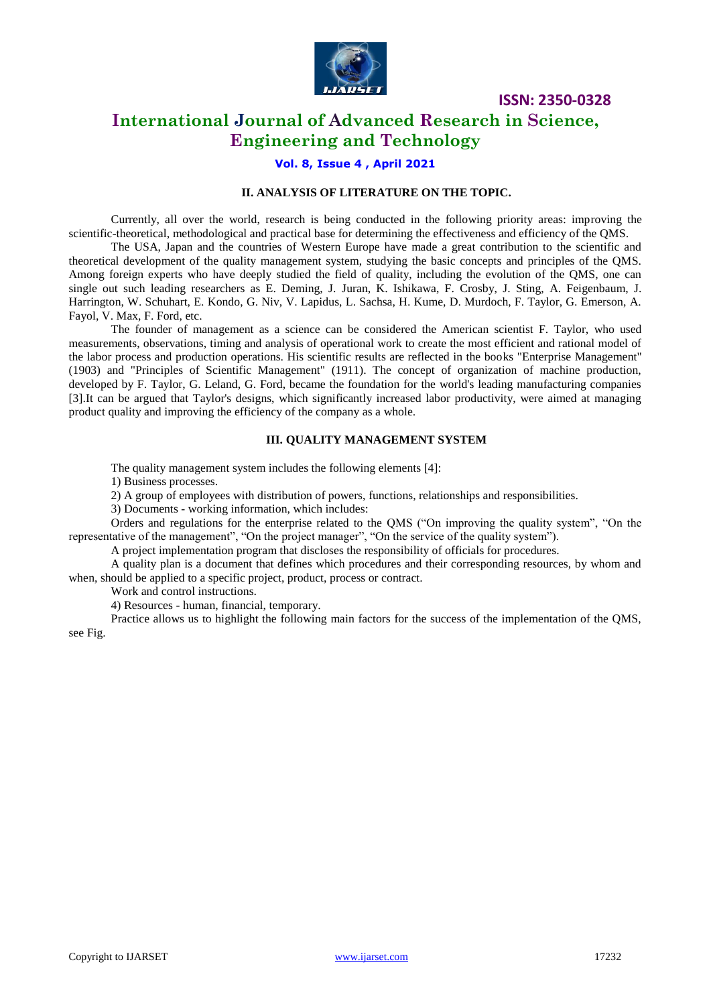

### **International Journal of Advanced Research in Science, Engineering and Technology**

#### **Vol. 8, Issue 4 , April 2021**

### **II. ANALYSIS OF LITERATURE ON THE TOPIC.**

Currently, all over the world, research is being conducted in the following priority areas: improving the scientific-theoretical, methodological and practical base for determining the effectiveness and efficiency of the QMS.

The USA, Japan and the countries of Western Europe have made a great contribution to the scientific and theoretical development of the quality management system, studying the basic concepts and principles of the QMS. Among foreign experts who have deeply studied the field of quality, including the evolution of the QMS, one can single out such leading researchers as E. Deming, J. Juran, K. Ishikawa, F. Crosby, J. Sting, A. Feigenbaum, J. Harrington, W. Schuhart, E. Kondo, G. Niv, V. Lapidus, L. Sachsa, H. Kume, D. Murdoch, F. Taylor, G. Emerson, A. Fayol, V. Max, F. Ford, etc.

The founder of management as a science can be considered the American scientist F. Taylor, who used measurements, observations, timing and analysis of operational work to create the most efficient and rational model of the labor process and production operations. His scientific results are reflected in the books "Enterprise Management" (1903) and "Principles of Scientific Management" (1911). The concept of organization of machine production, developed by F. Taylor, G. Leland, G. Ford, became the foundation for the world's leading manufacturing companies [3].It can be argued that Taylor's designs, which significantly increased labor productivity, were aimed at managing product quality and improving the efficiency of the company as a whole.

#### **III. QUALITY MANAGEMENT SYSTEM**

The quality management system includes the following elements [4]:

1) Business processes.

2) A group of employees with distribution of powers, functions, relationships and responsibilities.

3) Documents - working information, which includes:

Orders and regulations for the enterprise related to the QMS ("On improving the quality system", "On the representative of the management", "On the project manager", "On the service of the quality system").

A project implementation program that discloses the responsibility of officials for procedures.

A quality plan is a document that defines which procedures and their corresponding resources, by whom and when, should be applied to a specific project, product, process or contract.

Work and control instructions.

4) Resources - human, financial, temporary.

Practice allows us to highlight the following main factors for the success of the implementation of the QMS, see Fig.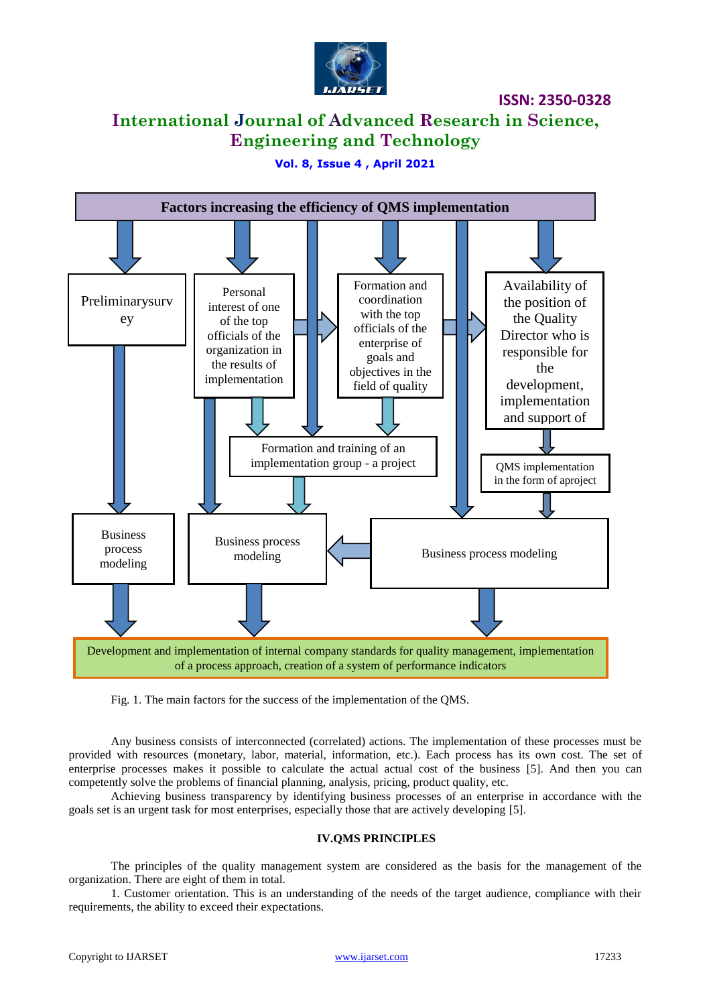

### **International Journal of Advanced Research in Science, Engineering and Technology**

### **Vol. 8, Issue 4 , April 2021**



Fig. 1. The main factors for the success of the implementation of the QMS.

Any business consists of interconnected (correlated) actions. The implementation of these processes must be provided with resources (monetary, labor, material, information, etc.). Each process has its own cost. The set of enterprise processes makes it possible to calculate the actual actual cost of the business [5]. And then you can competently solve the problems of financial planning, analysis, pricing, product quality, etc.

Achieving business transparency by identifying business processes of an enterprise in accordance with the goals set is an urgent task for most enterprises, especially those that are actively developing [5].

### **IV.QMS PRINCIPLES**

The principles of the quality management system are considered as the basis for the management of the organization. There are eight of them in total.

1. Customer orientation. This is an understanding of the needs of the target audience, compliance with their requirements, the ability to exceed their expectations.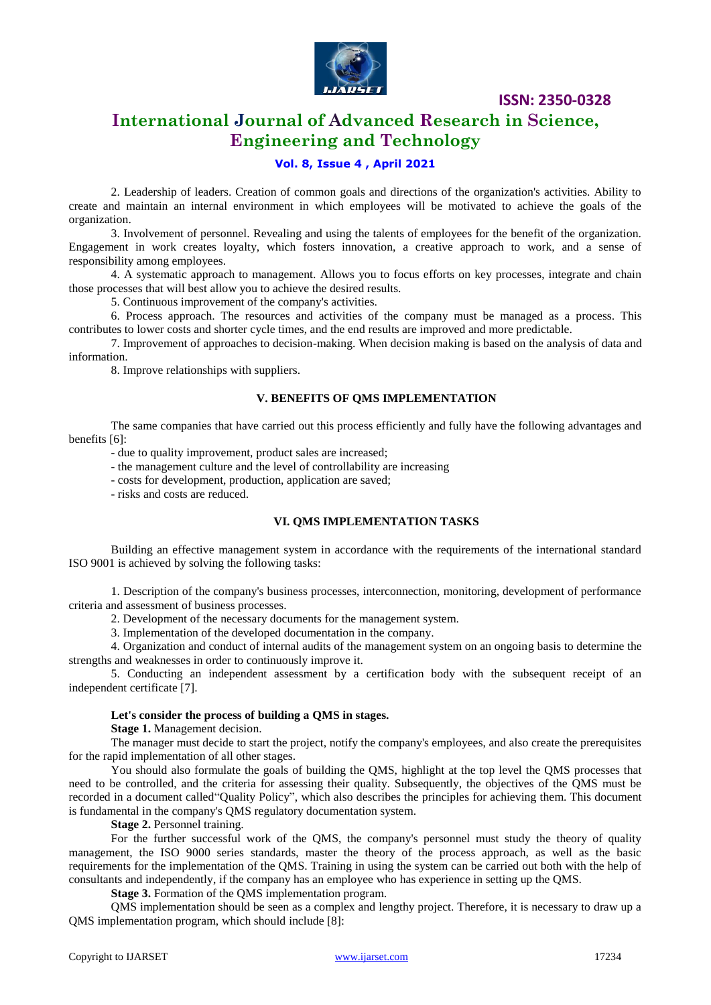

### **International Journal of Advanced Research in Science, Engineering and Technology**

### **Vol. 8, Issue 4 , April 2021**

2. Leadership of leaders. Creation of common goals and directions of the organization's activities. Ability to create and maintain an internal environment in which employees will be motivated to achieve the goals of the organization.

3. Involvement of personnel. Revealing and using the talents of employees for the benefit of the organization. Engagement in work creates loyalty, which fosters innovation, a creative approach to work, and a sense of responsibility among employees.

4. A systematic approach to management. Allows you to focus efforts on key processes, integrate and chain those processes that will best allow you to achieve the desired results.

5. Continuous improvement of the company's activities.

6. Process approach. The resources and activities of the company must be managed as a process. This contributes to lower costs and shorter cycle times, and the end results are improved and more predictable.

7. Improvement of approaches to decision-making. When decision making is based on the analysis of data and information.

8. Improve relationships with suppliers.

#### **V. BENEFITS OF QMS IMPLEMENTATION**

The same companies that have carried out this process efficiently and fully have the following advantages and benefits [6]:

- due to quality improvement, product sales are increased;

- the management culture and the level of controllability are increasing

- costs for development, production, application are saved;

- risks and costs are reduced.

#### **VI. QMS IMPLEMENTATION TASKS**

Building an effective management system in accordance with the requirements of the international standard ISO 9001 is achieved by solving the following tasks:

1. Description of the company's business processes, interconnection, monitoring, development of performance criteria and assessment of business processes.

2. Development of the necessary documents for the management system.

3. Implementation of the developed documentation in the company.

4. Organization and conduct of internal audits of the management system on an ongoing basis to determine the strengths and weaknesses in order to continuously improve it.

5. Conducting an independent assessment by a certification body with the subsequent receipt of an independent certificate [7].

#### **Let's consider the process of building a QMS in stages.**

**Stage 1.** Management decision.

The manager must decide to start the project, notify the company's employees, and also create the prerequisites for the rapid implementation of all other stages.

You should also formulate the goals of building the QMS, highlight at the top level the QMS processes that need to be controlled, and the criteria for assessing their quality. Subsequently, the objectives of the QMS must be recorded in a document called"Quality Policy", which also describes the principles for achieving them. This document is fundamental in the company's QMS regulatory documentation system.

**Stage 2.** Personnel training.

For the further successful work of the QMS, the company's personnel must study the theory of quality management, the ISO 9000 series standards, master the theory of the process approach, as well as the basic requirements for the implementation of the QMS. Training in using the system can be carried out both with the help of consultants and independently, if the company has an employee who has experience in setting up the QMS.

**Stage 3.** Formation of the QMS implementation program.

QMS implementation should be seen as a complex and lengthy project. Therefore, it is necessary to draw up a QMS implementation program, which should include [8]: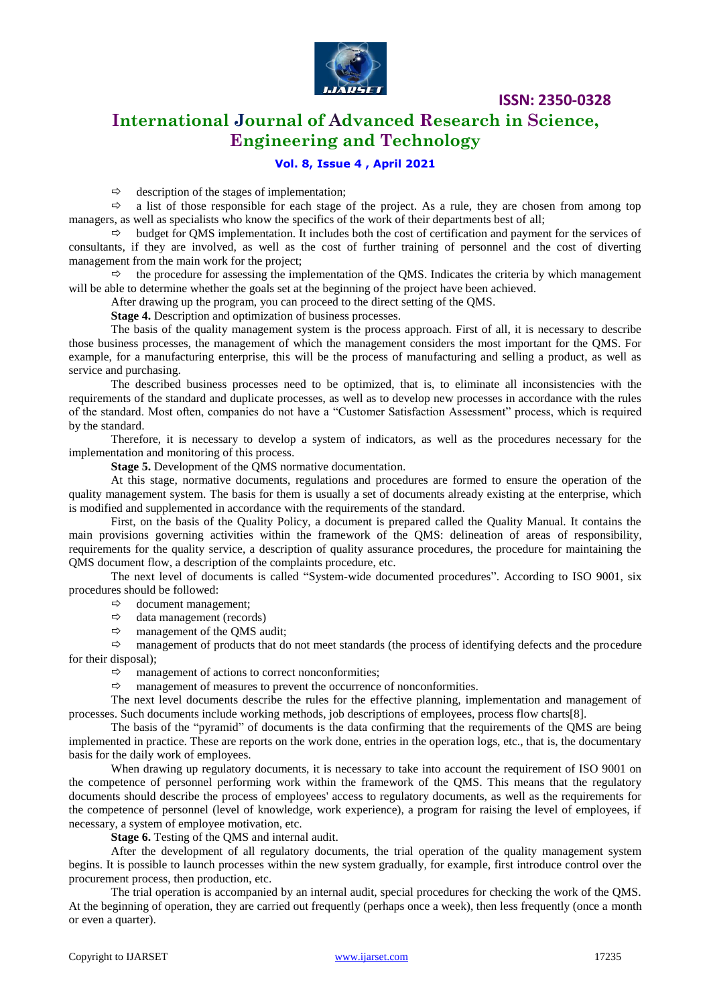

### **International Journal of Advanced Research in Science, Engineering and Technology**

### **Vol. 8, Issue 4 , April 2021**

 $\Leftrightarrow$  description of the stages of implementation;

 $\Rightarrow$  a list of those responsible for each stage of the project. As a rule, they are chosen from among top managers, as well as specialists who know the specifics of the work of their departments best of all;

 $\Rightarrow$  budget for QMS implementation. It includes both the cost of certification and payment for the services of consultants, if they are involved, as well as the cost of further training of personnel and the cost of diverting management from the main work for the project;

 $\Rightarrow$  the procedure for assessing the implementation of the QMS. Indicates the criteria by which management will be able to determine whether the goals set at the beginning of the project have been achieved.

After drawing up the program, you can proceed to the direct setting of the QMS.

**Stage 4.** Description and optimization of business processes.

The basis of the quality management system is the process approach. First of all, it is necessary to describe those business processes, the management of which the management considers the most important for the QMS. For example, for a manufacturing enterprise, this will be the process of manufacturing and selling a product, as well as service and purchasing.

The described business processes need to be optimized, that is, to eliminate all inconsistencies with the requirements of the standard and duplicate processes, as well as to develop new processes in accordance with the rules of the standard. Most often, companies do not have a "Customer Satisfaction Assessment" process, which is required by the standard.

Therefore, it is necessary to develop a system of indicators, as well as the procedures necessary for the implementation and monitoring of this process.

**Stage 5.** Development of the QMS normative documentation.

At this stage, normative documents, regulations and procedures are formed to ensure the operation of the quality management system. The basis for them is usually a set of documents already existing at the enterprise, which is modified and supplemented in accordance with the requirements of the standard.

First, on the basis of the Quality Policy, a document is prepared called the Quality Manual. It contains the main provisions governing activities within the framework of the QMS: delineation of areas of responsibility, requirements for the quality service, a description of quality assurance procedures, the procedure for maintaining the QMS document flow, a description of the complaints procedure, etc.

The next level of documents is called "System-wide documented procedures". According to ISO 9001, six procedures should be followed:

- $\Leftrightarrow$  document management;
- $\Rightarrow$  data management (records)
- $\Rightarrow$  management of the QMS audit;

 $\Rightarrow$  management of products that do not meet standards (the process of identifying defects and the procedure for their disposal);

 $\Rightarrow$  management of actions to correct nonconformities;

 $\Rightarrow$  management of measures to prevent the occurrence of nonconformities.

The next level documents describe the rules for the effective planning, implementation and management of processes. Such documents include working methods, job descriptions of employees, process flow charts[8].

The basis of the "pyramid" of documents is the data confirming that the requirements of the QMS are being implemented in practice. These are reports on the work done, entries in the operation logs, etc., that is, the documentary basis for the daily work of employees.

When drawing up regulatory documents, it is necessary to take into account the requirement of ISO 9001 on the competence of personnel performing work within the framework of the QMS. This means that the regulatory documents should describe the process of employees' access to regulatory documents, as well as the requirements for the competence of personnel (level of knowledge, work experience), a program for raising the level of employees, if necessary, a system of employee motivation, etc.

**Stage 6.** Testing of the QMS and internal audit.

After the development of all regulatory documents, the trial operation of the quality management system begins. It is possible to launch processes within the new system gradually, for example, first introduce control over the procurement process, then production, etc.

The trial operation is accompanied by an internal audit, special procedures for checking the work of the QMS. At the beginning of operation, they are carried out frequently (perhaps once a week), then less frequently (once a month or even a quarter).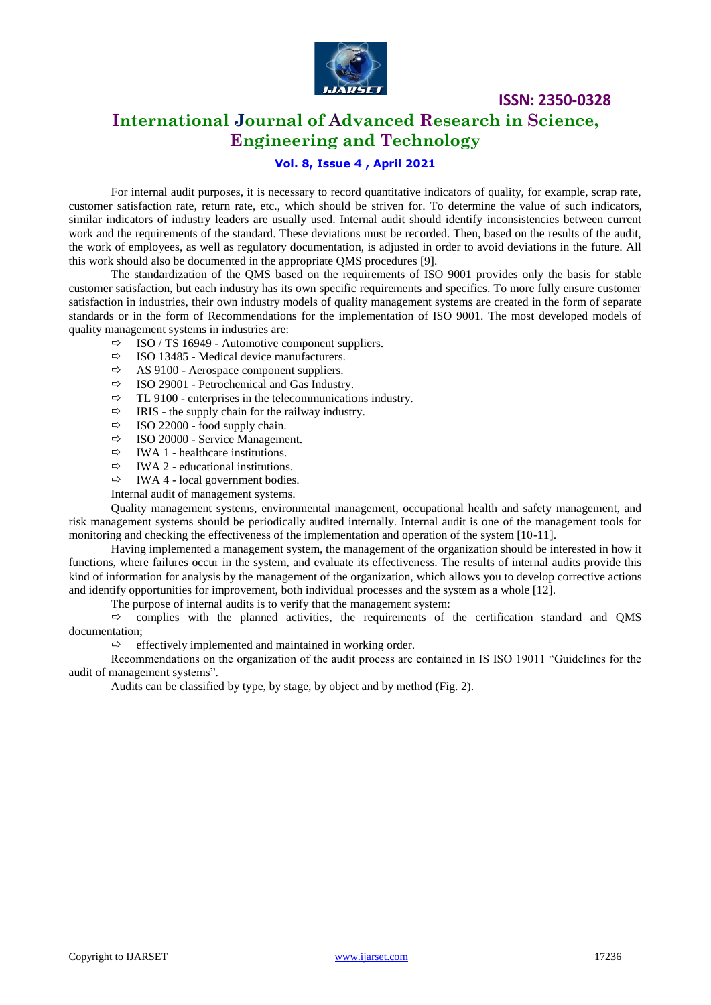

### **International Journal of Advanced Research in Science, Engineering and Technology**

### **Vol. 8, Issue 4 , April 2021**

For internal audit purposes, it is necessary to record quantitative indicators of quality, for example, scrap rate, customer satisfaction rate, return rate, etc., which should be striven for. To determine the value of such indicators, similar indicators of industry leaders are usually used. Internal audit should identify inconsistencies between current work and the requirements of the standard. These deviations must be recorded. Then, based on the results of the audit, the work of employees, as well as regulatory documentation, is adjusted in order to avoid deviations in the future. All this work should also be documented in the appropriate QMS procedures [9].

The standardization of the QMS based on the requirements of ISO 9001 provides only the basis for stable customer satisfaction, but each industry has its own specific requirements and specifics. To more fully ensure customer satisfaction in industries, their own industry models of quality management systems are created in the form of separate standards or in the form of Recommendations for the implementation of ISO 9001. The most developed models of quality management systems in industries are:

- $\Rightarrow$  ISO / TS 16949 Automotive component suppliers.
- $\Rightarrow$  ISO 13485 Medical device manufacturers.
- $\Rightarrow$  AS 9100 Aerospace component suppliers.
- $\Rightarrow$  ISO 29001 Petrochemical and Gas Industry.
- $\Rightarrow$  TL 9100 enterprises in the telecommunications industry.
- $\Rightarrow$  IRIS the supply chain for the railway industry.
- $\Rightarrow$  ISO 22000 food supply chain.
- $\Rightarrow$  ISO 20000 Service Management.
- $\Rightarrow$  IWA 1 healthcare institutions.
- $\Rightarrow$  IWA 2 educational institutions.
- $\Rightarrow$  IWA 4 local government bodies.

Internal audit of management systems.

Quality management systems, environmental management, occupational health and safety management, and risk management systems should be periodically audited internally. Internal audit is one of the management tools for monitoring and checking the effectiveness of the implementation and operation of the system [10-11].

Having implemented a management system, the management of the organization should be interested in how it functions, where failures occur in the system, and evaluate its effectiveness. The results of internal audits provide this kind of information for analysis by the management of the organization, which allows you to develop corrective actions and identify opportunities for improvement, both individual processes and the system as a whole [12].

The purpose of internal audits is to verify that the management system:

 $\Rightarrow$  complies with the planned activities, the requirements of the certification standard and QMS documentation;

 $\Rightarrow$  effectively implemented and maintained in working order.

Recommendations on the organization of the audit process are contained in IS ISO 19011 "Guidelines for the audit of management systems".

Audits can be classified by type, by stage, by object and by method (Fig. 2).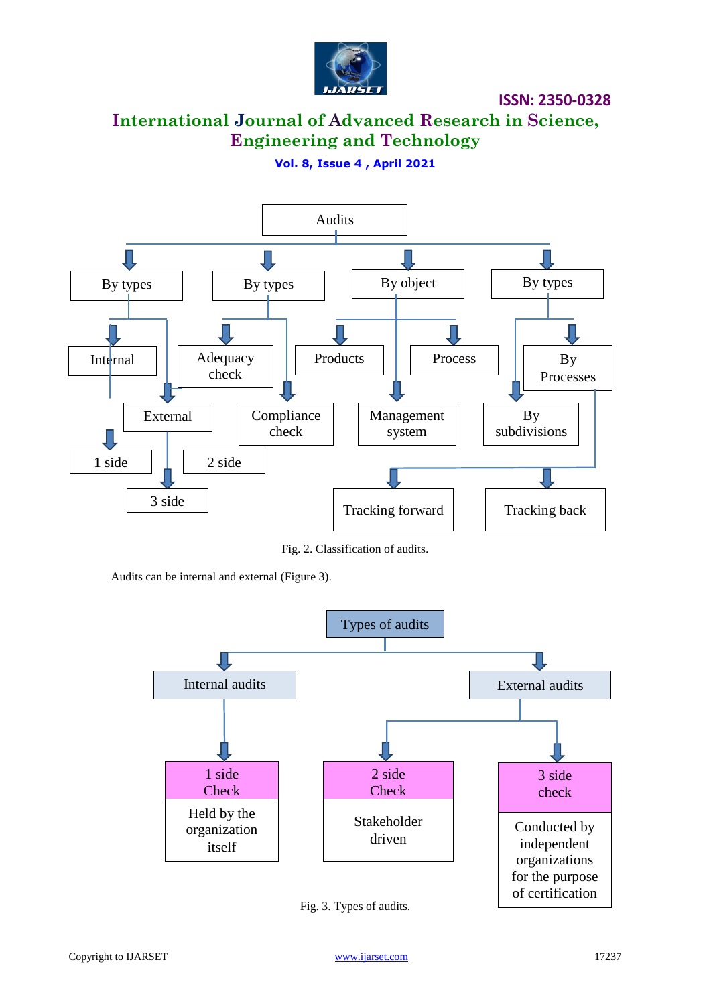

## **International Journal of Advanced Research in Science, Engineering and Technology**

### **Vol. 8, Issue 4 , April 2021**



Fig. 2. Classification of audits.

Audits can be internal and external (Figure 3).



Fig. 3. Types of audits.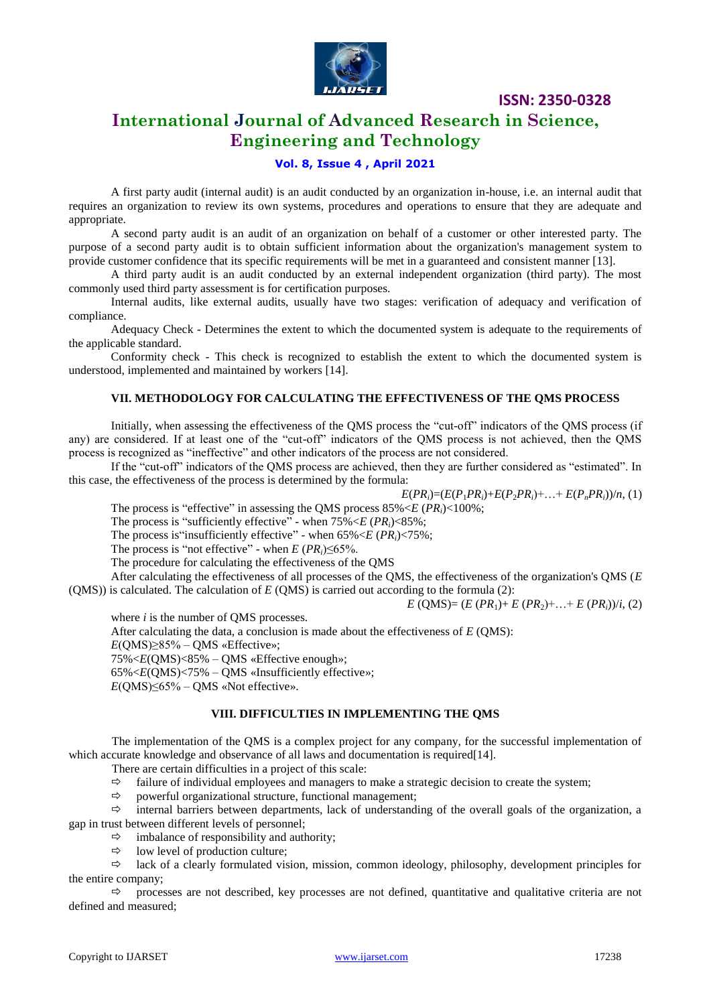

### **International Journal of Advanced Research in Science, Engineering and Technology**

### **Vol. 8, Issue 4 , April 2021**

A first party audit (internal audit) is an audit conducted by an organization in-house, i.e. an internal audit that requires an organization to review its own systems, procedures and operations to ensure that they are adequate and appropriate.

A second party audit is an audit of an organization on behalf of a customer or other interested party. The purpose of a second party audit is to obtain sufficient information about the organization's management system to provide customer confidence that its specific requirements will be met in a guaranteed and consistent manner [13].

A third party audit is an audit conducted by an external independent organization (third party). The most commonly used third party assessment is for certification purposes.

Internal audits, like external audits, usually have two stages: verification of adequacy and verification of compliance.

Adequacy Check - Determines the extent to which the documented system is adequate to the requirements of the applicable standard.

Conformity check - This check is recognized to establish the extent to which the documented system is understood, implemented and maintained by workers [14].

### **VII. METHODOLOGY FOR CALCULATING THE EFFECTIVENESS OF THE QMS PROCESS**

Initially, when assessing the effectiveness of the QMS process the "cut-off" indicators of the QMS process (if any) are considered. If at least one of the "cut-off" indicators of the QMS process is not achieved, then the QMS process is recognized as "ineffective" and other indicators of the process are not considered.

If the "cut-off" indicators of the QMS process are achieved, then they are further considered as "estimated". In this case, the effectiveness of the process is determined by the formula:

 $E(PR_i) = (E(P_1PR_i) + E(P_2PR_i) + ... + E(P_nPR_i))/n$ , (1)

The process is "effective" in assessing the QMS process 85%<*E* (*PRi*)<100%;

The process is "sufficiently effective" - when 75%<*E* (*PRi*)<85%;

The process is"insufficiently effective" - when 65%<*E* (*PRi*)<75%;

The process is "not effective" - when  $E$  ( $PR_i$ )≤65%.

The procedure for calculating the effectiveness of the QMS

After calculating the effectiveness of all processes of the QMS, the effectiveness of the organization's QMS (*E* (QMS)) is calculated. The calculation of *E* (QMS) is carried out according to the formula (2):

 $E$  (QMS)= ( $E$  ( $PR_1$ )+  $E$  ( $PR_2$ )+…+  $E$  ( $PR_i$ ))/*i*, (2)

where *i* is the number of QMS processes.

After calculating the data, a conclusion is made about the effectiveness of *E* (QMS): *E*(QMS)≥85% – QMS «Effective»; 75%<*E*(QMS)<85% – QMS «Effective enough»; 65%<*E*(QMS)<75% – QMS «Insufficiently effective»; *E*(OMS)≤65% – OMS «Not effective».

#### **VIII. DIFFICULTIES IN IMPLEMENTING THE QMS**

The implementation of the QMS is a complex project for any company, for the successful implementation of which accurate knowledge and observance of all laws and documentation is required[14].

There are certain difficulties in a project of this scale:

- $\Rightarrow$  failure of individual employees and managers to make a strategic decision to create the system;
- $\Rightarrow$  powerful organizational structure, functional management;

 $\Rightarrow$  internal barriers between departments, lack of understanding of the overall goals of the organization, a gap in trust between different levels of personnel;

- imbalance of responsibility and authority;
- $\Rightarrow$  low level of production culture:

 $\Rightarrow$  lack of a clearly formulated vision, mission, common ideology, philosophy, development principles for the entire company;

 $\Rightarrow$  processes are not described, key processes are not defined, quantitative and qualitative criteria are not defined and measured;